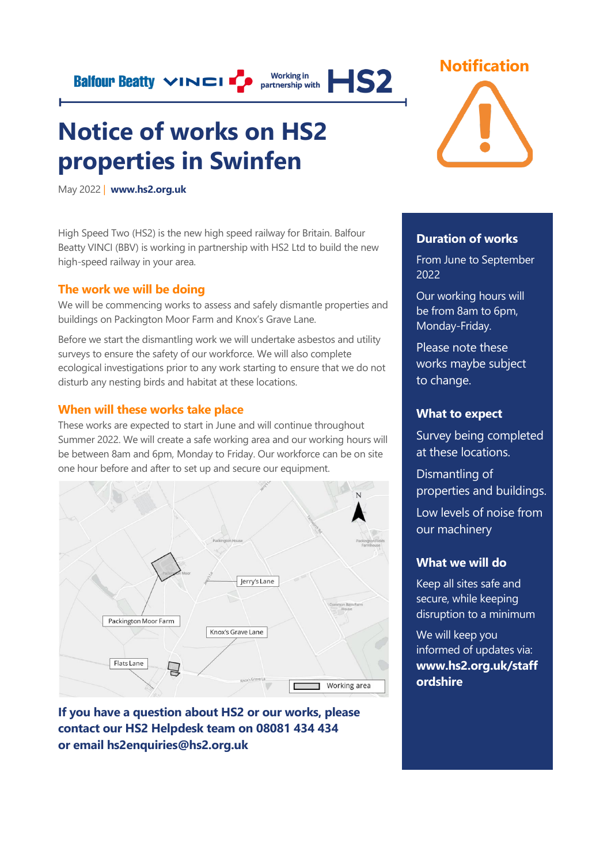**Notice of works on HS2 properties in Swinfen** 

May 2022 | **[www.hs2.org.uk](http://www.hs2.org.uk/)**

High Speed Two (HS2) is the new high speed railway for Britain. Balfour Beatty VINCI (BBV) is working in partnership with HS2 Ltd to build the new high-speed railway in your area.

**Balfour Beatty VINCI** P partnership with **HS2** 

### **The work we will be doing**

We will be commencing works to assess and safely dismantle properties and buildings on Packington Moor Farm and Knox's Grave Lane.

Before we start the dismantling work we will undertake asbestos and utility surveys to ensure the safety of our workforce. We will also complete ecological investigations prior to any work starting to ensure that we do not disturb any nesting birds and habitat at these locations.

### **When will these works take place**

These works are expected to start in June and will continue throughout Summer 2022. We will create a safe working area and our working hours will be between 8am and 6pm, Monday to Friday. Our workforce can be on site one hour before and after to set up and secure our equipment.



**If you have a question about HS2 or our works, please contact our HS2 Helpdesk team on 08081 434 434 or email hs2enquiries@hs2.org.uk**



## **Duration of works**

From June to September 2022

Our working hours will be from 8am to 6pm, Monday-Friday.

Please note these works maybe subject to change.

## **What to expect**

Survey being completed at these locations.

Dismantling of properties and buildings.

Low levels of noise from our machinery

#### **What we will do**

Keep all sites safe and secure, while keeping disruption to a minimum

We will keep you informed of updates via: **www.hs2.org.uk/staff ordshire**